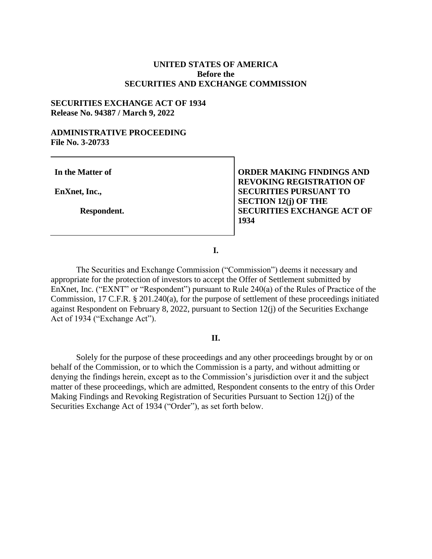# **UNITED STATES OF AMERICA Before the SECURITIES AND EXCHANGE COMMISSION**

# **SECURITIES EXCHANGE ACT OF 1934 Release No. 94387 / March 9, 2022**

#### **ADMINISTRATIVE PROCEEDING File No. 3-20733**

**In the Matter of**

**EnXnet, Inc.,**

**Respondent.**

**ORDER MAKING FINDINGS AND REVOKING REGISTRATION OF SECURITIES PURSUANT TO SECTION 12(j) OF THE SECURITIES EXCHANGE ACT OF 1934**

**I.**

The Securities and Exchange Commission ("Commission") deems it necessary and appropriate for the protection of investors to accept the Offer of Settlement submitted by EnXnet, Inc. ("EXNT" or "Respondent") pursuant to Rule 240(a) of the Rules of Practice of the Commission, 17 C.F.R. § 201.240(a), for the purpose of settlement of these proceedings initiated against Respondent on February 8, 2022, pursuant to Section 12(j) of the Securities Exchange Act of 1934 ("Exchange Act").

## **II.**

Solely for the purpose of these proceedings and any other proceedings brought by or on behalf of the Commission, or to which the Commission is a party, and without admitting or denying the findings herein, except as to the Commission's jurisdiction over it and the subject matter of these proceedings, which are admitted, Respondent consents to the entry of this Order Making Findings and Revoking Registration of Securities Pursuant to Section 12(j) of the Securities Exchange Act of 1934 ("Order"), as set forth below.